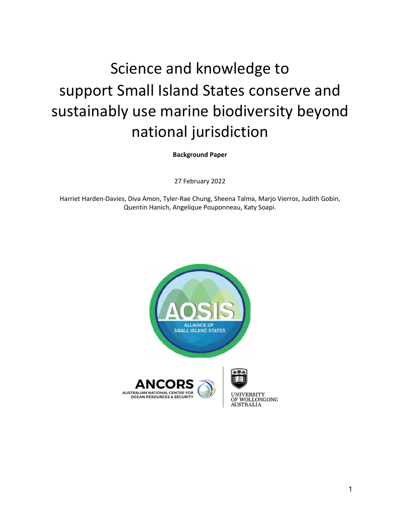## Science and knowledge to support Small Island States conserve and sustainably use marine biodiversity beyond national jurisdiction

**Background Paper**

27 February 2022

Harriet Harden-Davies, Diva Amon, Tyler-Rae Chung, Sheena Talma, Marjo Vierros, Judith Gobin, Quentin Hanich, Angelique Pouponneau, Katy Soapi.